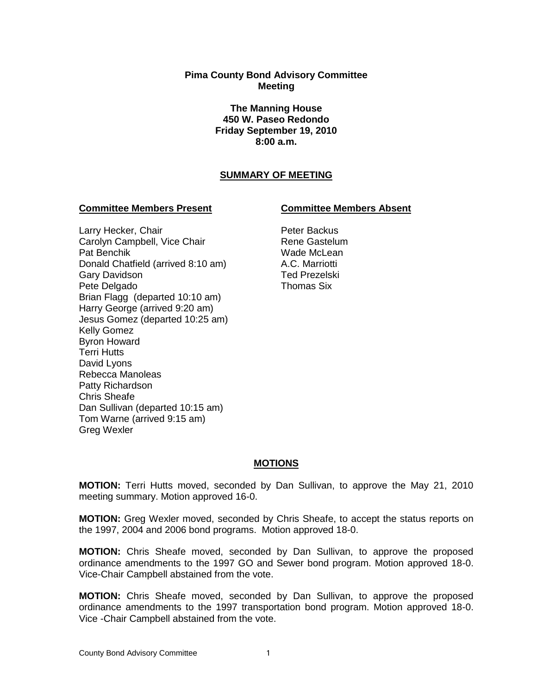## **Pima County Bond Advisory Committee Meeting**

**The Manning House 450 W. Paseo Redondo Friday September 19, 2010 8:00 a.m.**

# **SUMMARY OF MEETING**

## **Committee Members Present Committee Members Absent**

## Larry Hecker, Chair Carolyn Campbell, Vice Chair Pat Benchik Donald Chatfield (arrived 8:10 am) Gary Davidson Pete Delgado Brian Flagg (departed 10:10 am) Harry George (arrived 9:20 am) Jesus Gomez (departed 10:25 am) Kelly Gomez Byron Howard Terri Hutts David Lyons Rebecca Manoleas Patty Richardson Chris Sheafe Dan Sullivan (departed 10:15 am) Tom Warne (arrived 9:15 am) Greg Wexler

Peter Backus Rene Gastelum Wade McLean A.C. Marriotti Ted Prezelski Thomas Six

# **MOTIONS**

**MOTION:** Terri Hutts moved, seconded by Dan Sullivan, to approve the May 21, 2010 meeting summary. Motion approved 16-0.

**MOTION:** Greg Wexler moved, seconded by Chris Sheafe, to accept the status reports on the 1997, 2004 and 2006 bond programs. Motion approved 18-0.

**MOTION:** Chris Sheafe moved, seconded by Dan Sullivan, to approve the proposed ordinance amendments to the 1997 GO and Sewer bond program. Motion approved 18-0. Vice-Chair Campbell abstained from the vote.

**MOTION:** Chris Sheafe moved, seconded by Dan Sullivan, to approve the proposed ordinance amendments to the 1997 transportation bond program. Motion approved 18-0. Vice -Chair Campbell abstained from the vote.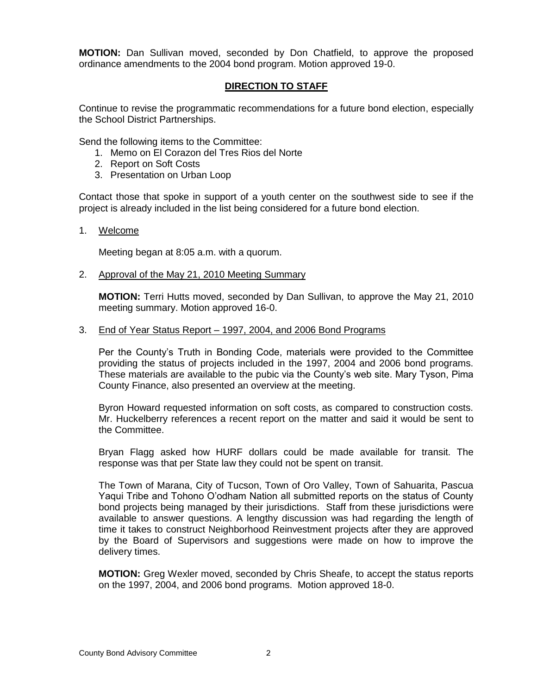**MOTION:** Dan Sullivan moved, seconded by Don Chatfield, to approve the proposed ordinance amendments to the 2004 bond program. Motion approved 19-0.

# **DIRECTION TO STAFF**

Continue to revise the programmatic recommendations for a future bond election, especially the School District Partnerships.

Send the following items to the Committee:

- 1. Memo on El Corazon del Tres Rios del Norte
- 2. Report on Soft Costs
- 3. Presentation on Urban Loop

Contact those that spoke in support of a youth center on the southwest side to see if the project is already included in the list being considered for a future bond election.

### 1. Welcome

Meeting began at 8:05 a.m. with a quorum.

2. Approval of the May 21, 2010 Meeting Summary

**MOTION:** Terri Hutts moved, seconded by Dan Sullivan, to approve the May 21, 2010 meeting summary. Motion approved 16-0.

### 3. End of Year Status Report – 1997, 2004, and 2006 Bond Programs

Per the County's Truth in Bonding Code, materials were provided to the Committee providing the status of projects included in the 1997, 2004 and 2006 bond programs. These materials are available to the pubic via the County's web site. Mary Tyson, Pima County Finance, also presented an overview at the meeting.

Byron Howard requested information on soft costs, as compared to construction costs. Mr. Huckelberry references a recent report on the matter and said it would be sent to the Committee.

Bryan Flagg asked how HURF dollars could be made available for transit. The response was that per State law they could not be spent on transit.

The Town of Marana, City of Tucson, Town of Oro Valley, Town of Sahuarita, Pascua Yaqui Tribe and Tohono O'odham Nation all submitted reports on the status of County bond projects being managed by their jurisdictions. Staff from these jurisdictions were available to answer questions. A lengthy discussion was had regarding the length of time it takes to construct Neighborhood Reinvestment projects after they are approved by the Board of Supervisors and suggestions were made on how to improve the delivery times.

**MOTION:** Greg Wexler moved, seconded by Chris Sheafe, to accept the status reports on the 1997, 2004, and 2006 bond programs. Motion approved 18-0.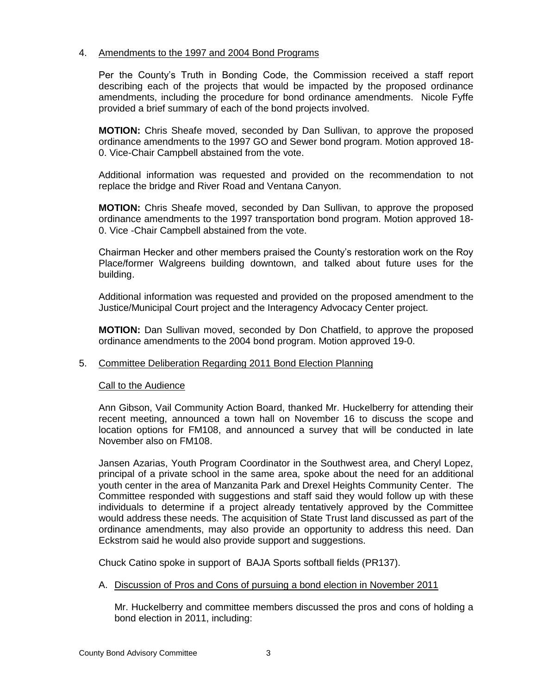## 4. Amendments to the 1997 and 2004 Bond Programs

Per the County's Truth in Bonding Code, the Commission received a staff report describing each of the projects that would be impacted by the proposed ordinance amendments, including the procedure for bond ordinance amendments. Nicole Fyffe provided a brief summary of each of the bond projects involved.

**MOTION:** Chris Sheafe moved, seconded by Dan Sullivan, to approve the proposed ordinance amendments to the 1997 GO and Sewer bond program. Motion approved 18- 0. Vice-Chair Campbell abstained from the vote.

Additional information was requested and provided on the recommendation to not replace the bridge and River Road and Ventana Canyon.

**MOTION:** Chris Sheafe moved, seconded by Dan Sullivan, to approve the proposed ordinance amendments to the 1997 transportation bond program. Motion approved 18- 0. Vice -Chair Campbell abstained from the vote.

Chairman Hecker and other members praised the County's restoration work on the Roy Place/former Walgreens building downtown, and talked about future uses for the building.

Additional information was requested and provided on the proposed amendment to the Justice/Municipal Court project and the Interagency Advocacy Center project.

**MOTION:** Dan Sullivan moved, seconded by Don Chatfield, to approve the proposed ordinance amendments to the 2004 bond program. Motion approved 19-0.

### 5. Committee Deliberation Regarding 2011 Bond Election Planning

### Call to the Audience

Ann Gibson, Vail Community Action Board, thanked Mr. Huckelberry for attending their recent meeting, announced a town hall on November 16 to discuss the scope and location options for FM108, and announced a survey that will be conducted in late November also on FM108.

Jansen Azarias, Youth Program Coordinator in the Southwest area, and Cheryl Lopez, principal of a private school in the same area, spoke about the need for an additional youth center in the area of Manzanita Park and Drexel Heights Community Center. The Committee responded with suggestions and staff said they would follow up with these individuals to determine if a project already tentatively approved by the Committee would address these needs. The acquisition of State Trust land discussed as part of the ordinance amendments, may also provide an opportunity to address this need. Dan Eckstrom said he would also provide support and suggestions.

Chuck Catino spoke in support of BAJA Sports softball fields (PR137).

# A. Discussion of Pros and Cons of pursuing a bond election in November 2011

Mr. Huckelberry and committee members discussed the pros and cons of holding a bond election in 2011, including: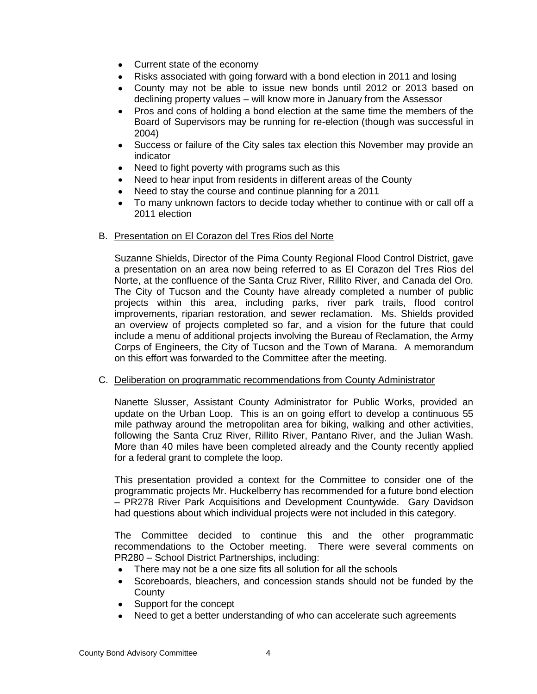- Current state of the economy
- Risks associated with going forward with a bond election in 2011 and losing
- County may not be able to issue new bonds until 2012 or 2013 based on declining property values – will know more in January from the Assessor
- Pros and cons of holding a bond election at the same time the members of the Board of Supervisors may be running for re-election (though was successful in 2004)
- Success or failure of the City sales tax election this November may provide an indicator
- Need to fight poverty with programs such as this
- Need to hear input from residents in different areas of the County
- Need to stay the course and continue planning for a 2011
- To many unknown factors to decide today whether to continue with or call off a 2011 election

### B. Presentation on El Corazon del Tres Rios del Norte

Suzanne Shields, Director of the Pima County Regional Flood Control District, gave a presentation on an area now being referred to as El Corazon del Tres Rios del Norte, at the confluence of the Santa Cruz River, Rillito River, and Canada del Oro. The City of Tucson and the County have already completed a number of public projects within this area, including parks, river park trails, flood control improvements, riparian restoration, and sewer reclamation. Ms. Shields provided an overview of projects completed so far, and a vision for the future that could include a menu of additional projects involving the Bureau of Reclamation, the Army Corps of Engineers, the City of Tucson and the Town of Marana. A memorandum on this effort was forwarded to the Committee after the meeting.

### C. Deliberation on programmatic recommendations from County Administrator

Nanette Slusser, Assistant County Administrator for Public Works, provided an update on the Urban Loop. This is an on going effort to develop a continuous 55 mile pathway around the metropolitan area for biking, walking and other activities, following the Santa Cruz River, Rillito River, Pantano River, and the Julian Wash. More than 40 miles have been completed already and the County recently applied for a federal grant to complete the loop.

This presentation provided a context for the Committee to consider one of the programmatic projects Mr. Huckelberry has recommended for a future bond election – PR278 River Park Acquisitions and Development Countywide. Gary Davidson had questions about which individual projects were not included in this category.

The Committee decided to continue this and the other programmatic recommendations to the October meeting. There were several comments on PR280 – School District Partnerships, including:

- There may not be a one size fits all solution for all the schools  $\bullet$
- Scoreboards, bleachers, and concession stands should not be funded by the **County**
- Support for the concept
- Need to get a better understanding of who can accelerate such agreements